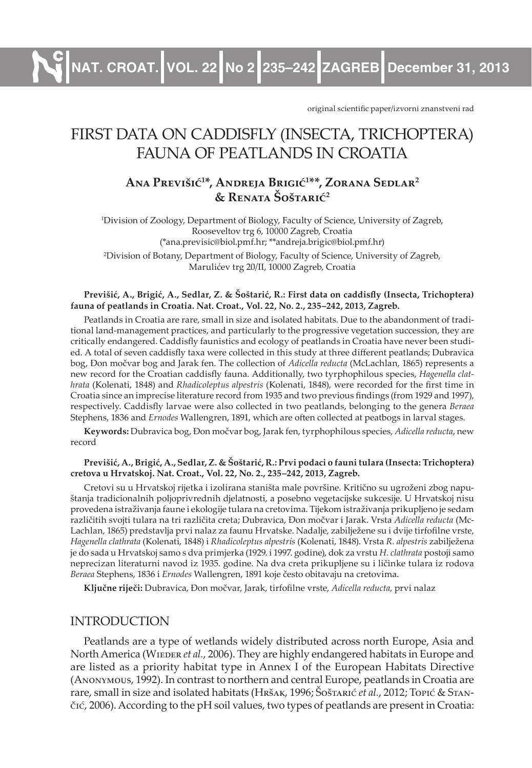**NAT. CROAT. VOL. 22 No 2 235–242 ZAGREB December 31, 2013**

original scientific paper/izvorni znanstveni rad

# First data on CaddisFlY (inseCta, triChoPtera) Fauna oF Peatlands in Croatia

## **aNA PREVIŠIĆ<sup>1</sup> \*, aNDREJA BRIGIĆ<sup>1</sup> \*\*, ZORANA SEDLAR<sup>2</sup> & RENATA ŠOŠTARIĆ<sup>2</sup>**

1 Division of Zoology, Department of Biology, Faculty of Science, University of Zagreb, Rooseveltov trg 6, 10000 Zagreb, Croatia (\*ana.previsic@biol.pmf.hr; \*\*andreja.brigic@biol.pmf.hr)

2 Division of Botany, Department of Biology, Faculty of Science, University of Zagreb, Marulićev trg 20/II, 10000 Zagreb, Croatia

#### Previšić, A., Brigić, A., Sedlar, Z. & Šoštarić, R.: First data on caddisfly (Insecta, Trichoptera) **fauna of peatlands in croatia. nat. croat., Vol. 22, no. 2., 235–242, 2013, Zagreb.**

Peatlands in Croatia are rare, small in size and isolated habitats. Due to the abandonment of traditional land-management practices, and particularly to the progressive vegetation succession, they are critically endangered. Caddisfly faunistics and ecology of peatlands in Croatia have never been studied. A total of seven caddisfly taxa were collected in this study at three different peatlands; Dubravica bog, Đon močvar bog and Jarak fen. The collection of *Adicella reducta* (McLachlan, 1865) represents a new record for the Croatian caddisfly fauna. Additionally, two tyrphophilous species, *Hagenella clathrata* (Kolenati, 1848) and *Rhadicoleptus alpestris* (Kolenati, 1848), were recorded for the first time in Croatia since an imprecise literature record from 1935 and two previous findings (from 1929 and 1997), respectively. Caddisfly larvae were also collected in two peatlands, belonging to the genera *Beraea* Stephens, 1836 and *Ernodes* Wallengren, 1891, which are often collected at peatbogs in larval stages.

**keywords:** Dubravica bog, Đon močvar bog, Jarak fen, tyrphophilous species, *Adicella reducta*, new record

#### **Previšić, a., Brigić, a., Sedlar, Z. & Šoštarić, R.: Prvi podaci o fauni tulara (Insecta: trichoptera) cretova u Hrvatskoj. nat. croat., Vol. 22, no. 2., 235–242, 2013, Zagreb.**

Cretovi su u Hrvatskoj rijetka i izolirana staništa male površine. Kritično su ugroženi zbog napuštanja tradicionalnih poljoprivrednih djelatnosti, a posebno vegetacijske sukcesije. U Hrvatskoj nisu provedena istraživanja faune i ekologije tulara na cretovima. Tijekom istraživanja prikupljeno je sedam različitih svojti tulara na tri različita creta; Dubravica, Đon močvar i Jarak. Vrsta *Adicella reducta* (Mc-Lachlan, 1865) predstavlja prvi nalaz za faunu Hrvatske. Nadalje, zabilježene su i dvije tirfofilne vrste, *Hagenella clathrata* (Kolenati, 1848) i *Rhadicoleptus alpestris* (Kolenati, 1848). Vrsta *R. alpestris* zabilježena je do sada u Hrvatskoj samo s dva primjerka (1929. i 1997. godine), dok za vrstu *H. clathrata* postoji samo neprecizan literaturni navod iz 1935. godine. Na dva creta prikupljene su i ličinke tulara iz rodova *Beraea* Stephens, 1836 i *Ernodes* Wallengren, 1891 koje često obitavaju na cretovima.

**ključne riječi:** Dubravica, Đon močvar, Jarak, tirfofi lne vrste, *Adicella reducta*, prvi nalaz

### **INTRODUCTION**

Peatlands are a type of wetlands widely distributed across north Europe, Asia and North America (WIEDER *et al.*, 2006). They are highly endangered habitats in Europe and are listed as a priority habitat type in Annex I of the European Habitats Directive (Anonymous, 1992). In contrast to northern and central Europe, peatlands in Croatia are rare, small in size and isolated habitats (Hršak, 1996; Šoštarić *et al.*, 2012; Topić & Stančić, 2006). According to the pH soil values, two types of peatlands are present in Croatia: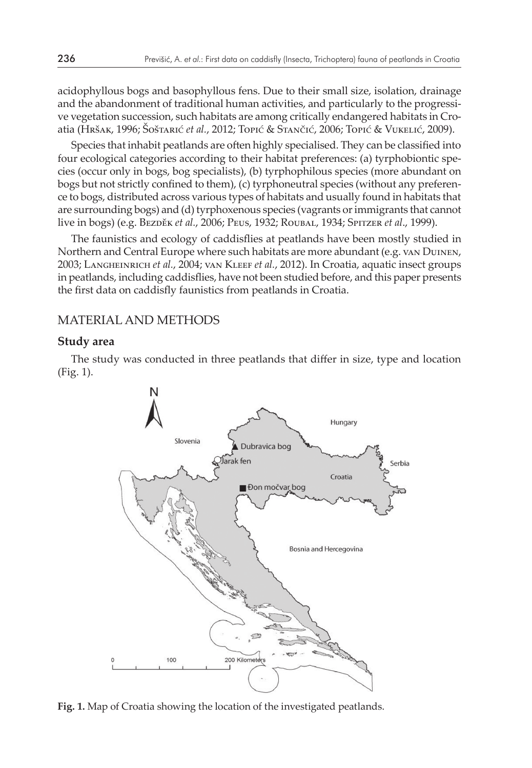acidophyllous bogs and basophyllous fens. Due to their small size, isolation, drainage and the abandonment of traditional human activities, and particularly to the progressive vegetation succession, such habitats are among critically endangered habitats in Croatia (Hršak, 1996; Šoštarić *et al.*, 2012; Topić & Stančić, 2006; Topić & Vukelić, 2009).

Species that inhabit peatlands are often highly specialised. They can be classified into four ecological categories according to their habitat preferences: (a) tyrphobiontic species (occur only in bogs, bog specialists), (b) tyrphophilous species (more abundant on bogs but not strictly confined to them), (c) tyrphoneutral species (without any preference to bogs, distributed across various types of habitats and usually found in habitats that are surrounding bogs) and (d) tyrphoxenous species (vagrants or immigrants that cannot live in bogs) (e.g. Bezděk *et al.*, 2006; Peus, 1932; Roubal, 1934; Spitzer *et al*., 1999).

The faunistics and ecology of caddisflies at peatlands have been mostly studied in Northern and Central Europe where such habitats are more abundant (e.g. van Duinen, 2003; Langheinrich *et al.*, 2004; van Kleef *et al.*, 2012). In Croatia, aquatic insect groups in peatlands, including caddisflies, have not been studied before, and this paper presents the first data on caddisfly faunistics from peatlands in Croatia.

## Material and methods

#### **Study area**

The study was conducted in three peatlands that differ in size, type and location (Fig. 1).



**Fig. 1.** Map of Croatia showing the location of the investigated peatlands.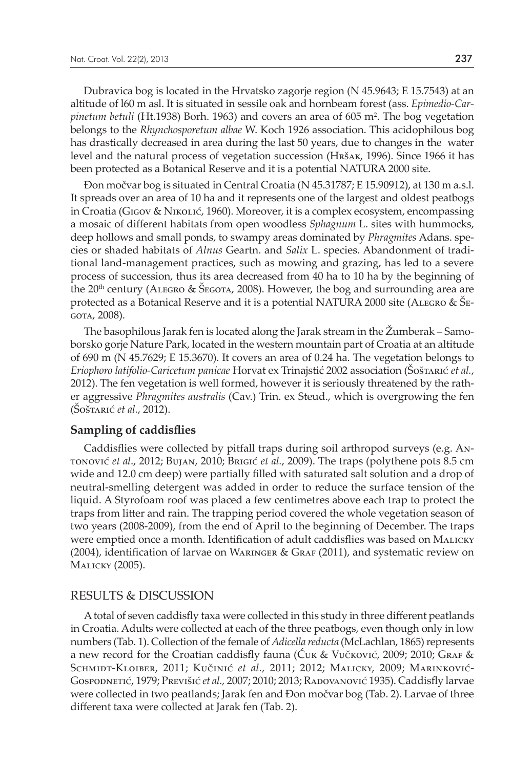Dubravica bog is located in the Hrvatsko zagorje region (N 45.9643; E 15.7543) at an altitude of l60 m asl. It is situated in sessile oak and hornbeam forest (ass. *Epimedio-Carpinetum betuli* (Ht.1938) Borh. 1963) and covers an area of 605 m<sup>2</sup> . The bog vegetation belongs to the *Rhynchosporetum albae* W. Koch 1926 association. This acidophilous bog has drastically decreased in area during the last 50 years, due to changes in the water level and the natural process of vegetation succession (Hršak, 1996). Since 1966 it has been protected as a Botanical Reserve and it is a potential NATURA 2000 site.

Đon močvar bog is situated in Central Croatia (N 45.31787; E 15.90912), at 130 m a.s.l. It spreads over an area of 10 ha and it represents one of the largest and oldest peatbogs in Croatia (Gigov & Nikolić, 1960). Moreover, it is a complex ecosystem, encompassing a mosaic of different habitats from open woodless *Sphagnum* L. sites with hummocks, deep hollows and small ponds, to swampy areas dominated by *Phragmites* Adans. species or shaded habitats of *Alnus* Geartn. and *Salix* L. species. Abandonment of traditional land-management practices, such as mowing and grazing, has led to a severe process of succession, thus its area decreased from 40 ha to 10 ha by the beginning of the 20<sup>th</sup> century (ALEGRO & ŠEGOTA, 2008). However, the bog and surrounding area are protected as a Botanical Reserve and it is a potential NATURA 2000 site (ALEGRO &  $\tilde{\Sigma}_{E}$ -GOTA, 2008).

The basophilous Jarak fen is located along the Jarak stream in the Žumberak – Samoborsko gorje Nature Park, located in the western mountain part of Croatia at an altitude of 690 m (N 45.7629; E 15.3670). It covers an area of 0.24 ha. The vegetation belongs to *Eriophoro latifolio-Caricetum panicae* Horvat ex Trinajstić 2002 association (Šoštarić *et al.*, 2012). The fen vegetation is well formed, however it is seriously threatened by the rather aggressive *Phragmites australis* (Cav.) Trin. ex Steud., which is overgrowing the fen (Šoštarić *et al.*, 2012).

#### **Sampling of caddisflies**

Caddisflies were collected by pitfall traps during soil arthropod surveys (e.g. Antonović *et al*., 2012; Bujan, 2010; Brigić *et al.*, 2009). The traps (polythene pots 8.5 cm wide and 12.0 cm deep) were partially filled with saturated salt solution and a drop of neutral-smelling detergent was added in order to reduce the surface tension of the liquid. A Styrofoam roof was placed a few centimetres above each trap to protect the traps from litter and rain. The trapping period covered the whole vegetation season of two years (2008-2009), from the end of April to the beginning of December. The traps were emptied once a month. Identification of adult caddisflies was based on Malicky  $(2004)$ , identification of larvae on WARINGER & GRAF  $(2011)$ , and systematic review on Malicky (2005).

#### Results & discussion

A total of seven caddisfly taxa were collected in this study in three different peatlands in Croatia. Adults were collected at each of the three peatbogs, even though only in low numbers (Tab. 1). Collection of the female of *Adicella reducta* (McLachlan, 1865) represents a new record for the Croatian caddisfly fauna (Ćuk & Vučković, 2009; 2010; Graf & Schmidt-Kloiber, 2011; Kučinić *et al.,* 2011; 2012; Malicky, 2009; Marinković-Gospodnetić, 1979; Previšić *et al.*, 2007; 2010; 2013; RADOVANOVIĆ 1935). Caddisfly larvae were collected in two peatlands; Jarak fen and Đon močvar bog (Tab. 2). Larvae of three different taxa were collected at Jarak fen (Tab. 2).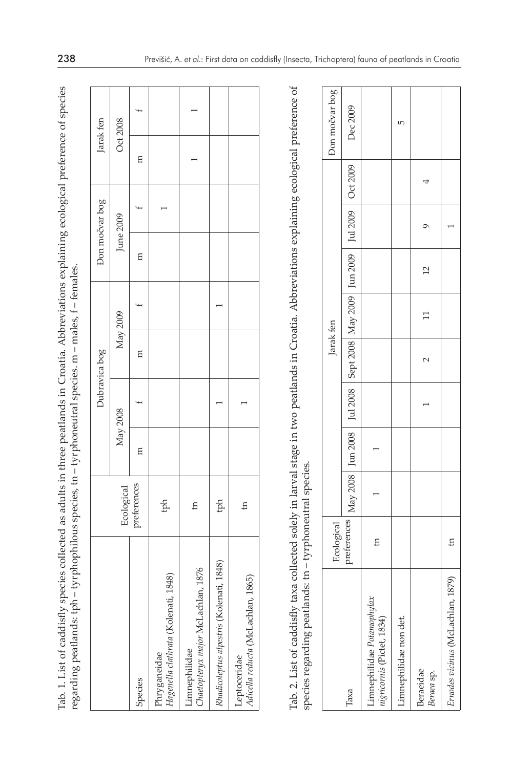Tab. 1. List of caddisfly species collected as adults in three peatlands in Croatia. Abbreviations explaining ecological preference of species Tab. 1. List of caddisfly species collected as adults in three peatlands in Croatia. Abbreviations explaining ecological preference of species<br>regarding peatlands: tph – tyrphophilous species, tn – tyrphoneutral species. m regarding peatlands: tph - tyrphophilous species, tn - tyrphoneutral species. m - males, f - females.

|                                                      |                           |          | Dubravica bog |           | Don močvar bog | Jarak fen |  |
|------------------------------------------------------|---------------------------|----------|---------------|-----------|----------------|-----------|--|
|                                                      |                           |          |               |           |                |           |  |
|                                                      |                           | May 2008 | May 2009      | June 2009 |                | Oct 2008  |  |
| Species                                              | Ecological<br>preferences | E        | E             | E         |                | Ξ         |  |
| Hagenella clathrata (Kolenati, 1848)<br>Phryganeidae | $\frac{1}{2}$             |          |               |           |                |           |  |
| Chaetopteryx major McLachlan, 1876<br>Limnephilidae  | E                         |          |               |           |                |           |  |
| Rhadicoleptus alpestris (Kolenati, 1848)             | ph                        |          |               |           |                |           |  |
| Adicella reducta (McLachlan, 1865)<br>Leptoceridae   | $\overline{a}$            |          |               |           |                |           |  |

Tab. 2. List of caddisfly taxa collected solely in larval stage in two peatlands in Croatia. Abbreviations explaining ecological preference of Tab. 2. List of caddisfly taxa collected solely in larval stage in two peatlands in Croatia. Abbreviations explaining ecological preference of species regarding peatlands: tn - tyrphoneutral species. species regarding peatlands: tn – tyrphoneutral species.

|                                                         |                                                                                                                                                                                                          |  |        | Jarak fen |                |   | Don močvar bog |
|---------------------------------------------------------|----------------------------------------------------------------------------------------------------------------------------------------------------------------------------------------------------------|--|--------|-----------|----------------|---|----------------|
| laxa                                                    | $\frac{\text{Ecological}}{\text{preferences}}$ May 2008 $\boxed{\text{Jun } 2008}$ $\boxed{\text{5ept } 2008}$ May 2009 $\boxed{\text{Jun } 2009}$ $\boxed{\text{Jul } 2009}$ $\boxed{\text{Out } 2009}$ |  |        |           |                |   | Dec 2009       |
| imnephilidae Potamophylax<br>nigricornis (Pictet, 1834) | E                                                                                                                                                                                                        |  |        |           |                |   |                |
| Limnephilidae non det.                                  |                                                                                                                                                                                                          |  |        |           |                |   | ю              |
| Beraeidae<br>Beraea sp.                                 |                                                                                                                                                                                                          |  | $\sim$ | $\Box$    | $\overline{c}$ | ᡡ |                |
| 1879)<br>Ernodes vicinus (McLachlan, 1                  | $\mathbf{H}$                                                                                                                                                                                             |  |        |           |                |   |                |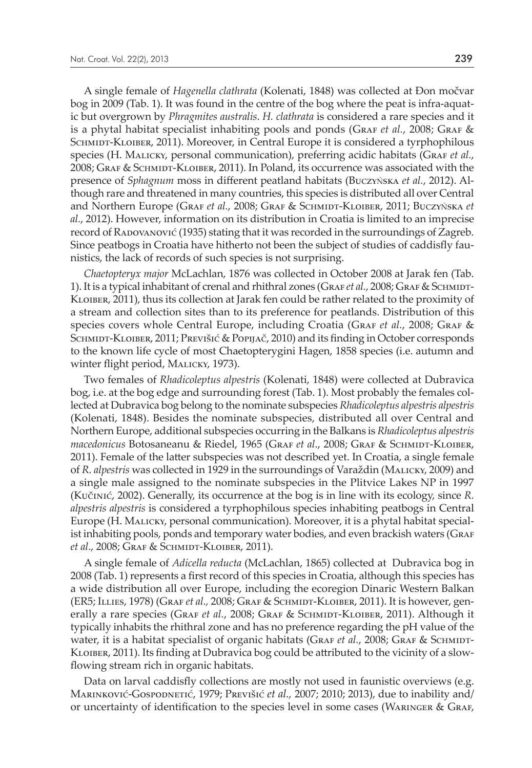A single female of *Hagenella clathrata* (Kolenati, 1848) was collected at Đon močvar bog in 2009 (Tab. 1). It was found in the centre of the bog where the peat is infra-aquatic but overgrown by *Phragmites australis*. *H. clathrata* is considered a rare species and it is a phytal habitat specialist inhabiting pools and ponds (GRAF *et al.*, 2008; GRAF & SCHMIDT-KLOIBER, 2011). Moreover, in Central Europe it is considered a tyrphophilous species (H. Malicky, personal communication), preferring acidic habitats (GRAF *et al.*, 2008; Graf & SCHMIDT-KLOIBER, 2011). In Poland, its occurrence was associated with the presence of *Sphagnum* moss in different peatland habitats (BuczyŃska *et al.*, 2012). Although rare and threatened in many countries, this species is distributed all over Central and Northern Europe (Graf *et al.*, 2008; Graf & SCHMIDT-KLOIBER, 2011; BUCZYŃSKA *et al.*, 2012). However, information on its distribution in Croatia is limited to an imprecise record of Radovanović (1935) stating that it was recorded in the surroundings of Zagreb. Since peatbogs in Croatia have hitherto not been the subject of studies of caddisfly faunistics, the lack of records of such species is not surprising.

*Chaetopteryx major* McLachlan, 1876 was collected in October 2008 at Jarak fen (Tab. 1). It is a typical inhabitant of crenal and rhithral zones (GRAF *et al.*, 2008; GRAF & SCHMIDT-Kloiber, 2011), thus its collection at Jarak fen could be rather related to the proximity of a stream and collection sites than to its preference for peatlands. Distribution of this species covers whole Central Europe, including Croatia (GRAF *et al.*, 2008; GRAF & SCHMIDT-KLOIBER, 2011; PREVIŠIĆ & POPIJAČ, 2010) and its finding in October corresponds to the known life cycle of most Chaetopterygini Hagen, 1858 species (i.e. autumn and winter flight period, Malicky, 1973).

Two females of *Rhadicoleptus alpestris* (Kolenati, 1848) were collected at Dubravica bog, i.e. at the bog edge and surrounding forest (Tab. 1). Most probably the females collected at Dubravica bog belong to the nominate subspecies *Rhadicoleptus alpestris alpestris* (Kolenati, 1848). Besides the nominate subspecies, distributed all over Central and Northern Europe, additional subspecies occurring in the Balkans is *Rhadicoleptus alpestris macedonicus* Botosaneanu & Riedel, 1965 (Graf *et al*., 2008; Graf & Schmidt-Kloiber, 2011). Female of the latter subspecies was not described yet. In Croatia, a single female of *R. alpestris* was collected in 1929 in the surroundings of Varaždin (Malicky, 2009) and a single male assigned to the nominate subspecies in the Plitvice Lakes NP in 1997 (Kučinić, 2002). Generally, its occurrence at the bog is in line with its ecology, since *R. alpestris alpestris* is considered a tyrphophilous species inhabiting peatbogs in Central Europe (H. Malicky, personal communication). Moreover, it is a phytal habitat specialist inhabiting pools, ponds and temporary water bodies, and even brackish waters (GRAF *et al*., 2008; Graf & Schmidt-Kloiber, 2011).

A single female of *Adicella reducta* (McLachlan, 1865) collected at Dubravica bog in 2008 (Tab. 1) represents a first record of this species in Croatia, although this species has a wide distribution all over Europe, including the ecoregion Dinaric Western Balkan (ER5; Illies, 1978) (Graf *et al.,* 2008; Graf & Schmidt-Kloiber, 2011). It is however, generally a rare species (GRAF et al., 2008; GRAF & SCHMIDT-KLOIBER, 2011). Although it typically inhabits the rhithral zone and has no preference regarding the pH value of the water, it is a habitat specialist of organic habitats (GRAF *et al.*, 2008; GRAF & SCHMIDT-Kloiber, 2011). Its finding at Dubravica bog could be attributed to the vicinity of a slowflowing stream rich in organic habitats.

Data on larval caddisfly collections are mostly not used in faunistic overviews (e.g. Marinković-Gospodnetić, 1979; Previšić *et al.,* 2007; 2010; 2013), due to inability and/ or uncertainty of identification to the species level in some cases (Waringer & Graf,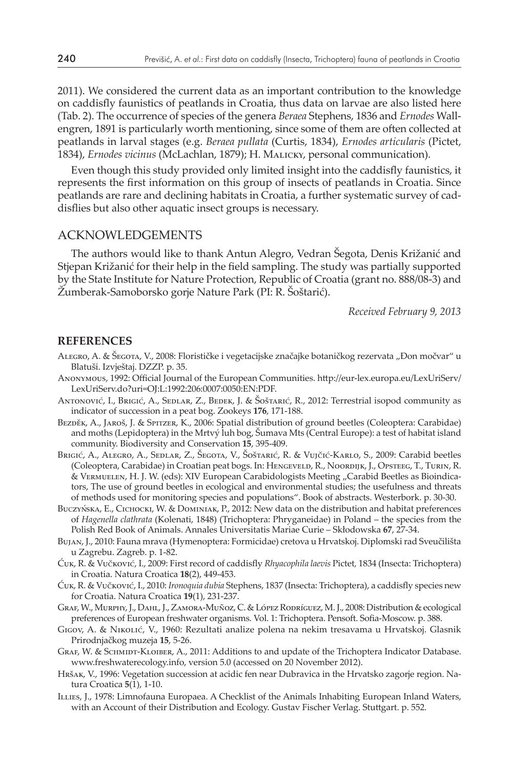2011). We considered the current data as an important contribution to the knowledge on caddisfly faunistics of peatlands in Croatia, thus data on larvae are also listed here (Tab. 2). The occurrence of species of the genera *Beraea* Stephens, 1836 and *Ernodes* Wallengren, 1891 is particularly worth mentioning, since some of them are often collected at peatlands in larval stages (e.g. *Beraea pullata* (Curtis, 1834), *Ernodes articularis* (Pictet, 1834), *Ernodes vicinus* (McLachlan, 1879); H. Malicky, personal communication).

Even though this study provided only limited insight into the caddisfly faunistics, it represents the first information on this group of insects of peatlands in Croatia. Since peatlands are rare and declining habitats in Croatia, a further systematic survey of caddisflies but also other aquatic insect groups is necessary.

#### Acknowledgements

The authors would like to thank Antun Alegro, Vedran Šegota, Denis Križanić and Stjepan Križanić for their help in the field sampling. The study was partially supported by the State Institute for Nature Protection, Republic of Croatia (grant no. 888/08-3) and Žumberak-Samoborsko gorje Nature Park (PI: R. Šoštarić).

*Received February 9, 2013*

#### **References**

- ALEGRO, A. & ŠEGOTA, V., 2008: Florističke i vegetacijske značajke botaničkog rezervata "Đon močvar" u Blatuši. Izvještaj. DZZP. p. 35.
- Anonymous, 1992: Official Journal of the European Communities. http://eur-lex.europa.eu/LexUriServ/ LexUriServ.do?uri=OJ:L:1992:206:0007:0050:EN:PDF.
- Antonović, I., Brigić, A., Sedlar, Z., Bedek, J. & Šoštarić, R., 2012: Terrestrial isopod community as indicator of succession in a peat bog. Zookeys **176**, 171-188.
- BEZDĚK, A., JAROŠ, J. & SPITZER, K., 2006: Spatial distribution of ground beetles (Coleoptera: Carabidae) and moths (Lepidoptera) in the Mrtvý luh bog, Šumava Mts (Central Europe): a test of habitat island community. Biodiversity and Conservation **15**, 395-409.
- Brigić, A., Alegro, A., Sedlar, Z., Šegota, V., Šoštarić, R. & Vujčić-Karlo, S., 2009: Carabid beetles (Coleoptera, Carabidae) in Croatian peat bogs. In: Hengeveld, R., Noordijk, J., Opsteeg, T., Turin, R. & VERMUELEN, H. J. W. (eds): XIV European Carabidologists Meeting "Carabid Beetles as Bioindicators, The use of ground beetles in ecological and environmental studies; the usefulness and threats of methods used for monitoring species and populations". Book of abstracts. Westerbork. p. 30-30.
- Buczyńska, E., Cichocki, W. & Dominiak, P., 2012: New data on the distribution and habitat preferences of *Hagenella clathrata* (Kolenati, 1848) (Trichoptera: Phryganeidae) in Poland – the species from the Polish Red Book of Animals. Annales Universitatis Mariae Curie – Skłodowska **67**, 27-34.
- Bujan, J., 2010: Fauna mrava (Hymenoptera: Formicidae) cretova u Hrvatskoj. Diplomski rad Sveučilišta u Zagrebu. Zagreb. p. 1-82.
- Ćuk, R. & Vučković, I., 2009: First record of caddisfly *Rhyacophila laevis* Pictet*,* 1834 (Insecta: Trichoptera) in Croatia. Natura Croatica **18**(2), 449-453.
- Ćuk, R. & Vučković, I., 2010: *Ironoquia dubia* Stephens, 1837 (Insecta: Trichoptera), a caddisfly species new for Croatia. Natura Croatica **19**(1), 231-237.
- Graf, W., Murphy, J., Dahl, J., Zamora-Muñoz, C. & López Rodríguez, M. J., 2008: Distribution & ecological preferences of European freshwater organisms. Vol. 1: Trichoptera. Pensoft. Sofia-Moscow. p. 388.
- Gigov, A. & Nikolić, V., 1960: Rezultati analize polena na nekim tresavama u Hrvatskoj. Glasnik Prirodnjačkog muzeja **15**, 5-26.
- GRAF, W. & SCHMIDT-KLOIBER, A., 2011: Additions to and update of the Trichoptera Indicator Database. www.freshwaterecology.info, version 5.0 (accessed on 20 November 2012).
- Hršak, V., 1996: Vegetation succession at acidic fen near Dubravica in the Hrvatsko zagorje region. Natura Croatica **5**(1), 1-10.
- Illies, J., 1978: Limnofauna Europaea. A Checklist of the Animals Inhabiting European Inland Waters, with an Account of their Distribution and Ecology. Gustav Fischer Verlag. Stuttgart. p. 552.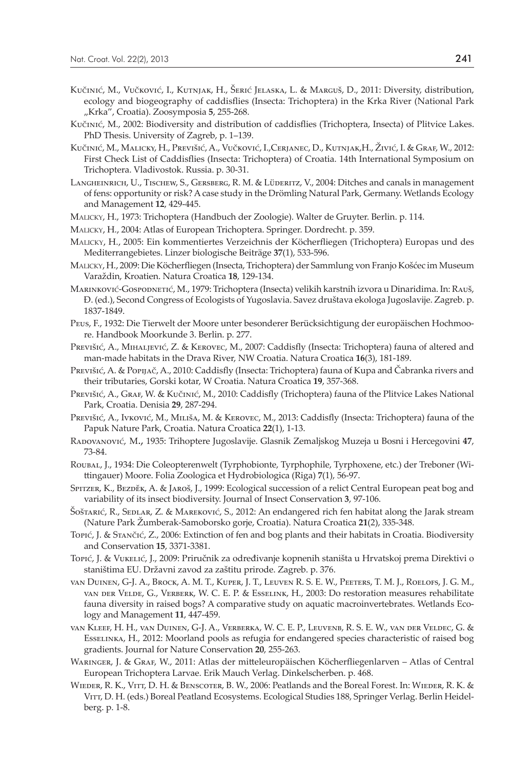- Kučinić, M., Vučković, I., Kutnjak, H., Šerić Jelaska, L. & Marguš, D., 2011: Diversity, distribution, ecology and biogeography of caddisflies (Insecta: Trichoptera) in the Krka River (National Park "Krka", Croatia). Zoosymposia 5, 255-268.
- Kučinić, M., 2002: Biodiversity and distribution of caddisflies (Trichoptera, Insecta) of Plitvice Lakes. PhD Thesis. University of Zagreb, p. 1–139.
- Kučinić, M., Malicky, H., Previšić, A., Vučković, I.,Cerjanec, D., Kutnjak,H., Živić, I. & Graf, W., 2012: First Check List of Caddisflies (Insecta: Trichoptera) of Croatia. 14th International Symposium on Trichoptera. Vladivostok. Russia. p. 30-31.
- Langheinrich, U., Tischew, S., Gersberg, R. M. & Lüderitz, V., 2004: Ditches and canals in management of fens: opportunity or risk? A case study in the Drömling Natural Park, Germany. Wetlands Ecology and Management **12**, 429-445.
- Malicky, H., 1973: Trichoptera (Handbuch der Zoologie). Walter de Gruyter. Berlin. p. 114.
- Malicky, H., 2004: Atlas of European Trichoptera. Springer. Dordrecht. p. 359.
- Malicky, H., 2005: Ein kommentiertes Verzeichnis der Köcherfliegen (Trichoptera) Europas und des Mediterrangebietes. Linzer biologische Beiträge **37**(1), 533-596.
- Malicky, H., 2009: Die Köcherfliegen (Insecta, Trichoptera) der Sammlung von Franjo Košćec im Museum Varaždin, Kroatien. Natura Croatica **18**, 129-134.
- Marinković-Gospodnetić, M., 1979: Trichoptera (Insecta) velikih karstnih izvora u Dinaridima. In: Rauš, Đ. (ed.), Second Congress of Ecologists of Yugoslavia. Savez društava ekologa Jugoslavije. Zagreb. p. 1837-1849.
- Peus, F., 1932: Die Tierwelt der Moore unter besonderer Berücksichtigung der europäischen Hochmoore. Handbook Moorkunde 3. Berlin. p. 277.
- Previšić, A., Mihaljević, Z. & Kerovec, M., 2007: Caddisfly (Insecta: Trichoptera) fauna of altered and man-made habitats in the Drava River, NW Croatia. Natura Croatica **16**(3), 181-189.
- Previšić, A. & Popijač, A., 2010: Caddisfly (Insecta: Trichoptera) fauna of Kupa and Čabranka rivers and their tributaries, Gorski kotar, W Croatia. Natura Croatica **19**, 357-368.
- PREVIŠIĆ, A., GRAF, W. & Kučinić, M., 2010: Caddisfly (Trichoptera) fauna of the Plitvice Lakes National Park, Croatia. Denisia **29**, 287-294.
- PREVIŠIĆ, A., Ivković, M., Miliša, M. & KEROVEC, M., 2013: Caddisfly (Insecta: Trichoptera) fauna of the Papuk Nature Park, Croatia. Natura Croatica **22**(1), 1-13.
- Radovanović, M., 1935: Trihoptere Jugoslavije. Glasnik Zemaljskog Muzeja u Bosni i Hercegovini **47**, 73-84.
- Roubal, J., 1934: Die Coleopterenwelt (Tyrphobionte, Tyrphophile, Tyrphoxene, etc.) der Treboner (Wittingauer) Moore. Folia Zoologica et Hydrobiologica (Riga) **7**(1), 56-97.
- Spitzer, K., Bezděk, A. & Jaroš, J., 1999: Ecological succession of a relict Central European peat bog and variability of its insect biodiversity. Journal of Insect Conservation **3**, 97-106.
- Šoštarić, R., Seplar, Z. & Mareković, S., 2012: An endangered rich fen habitat along the Jarak stream (Nature Park Žumberak-Samoborsko gorje, Croatia). Natura Croatica **21**(2), 335-348.
- Topić, J. & Stančić, Z., 2006: Extinction of fen and bog plants and their habitats in Croatia. Biodiversity and Conservation **15**, 3371-3381.
- Topić, J. & Vukelić, J., 2009: Priručnik za određivanje kopnenih staništa u Hrvatskoj prema Direktivi o staništima EU. Državni zavod za zaštitu prirode. Zagreb. p. 376.
- van Duinen, G-J. A., Brock, A. M. T., Kuper, J. T., Leuven R. S. E. W., Peeters, T. M. J., Roelofs, J. G. M., van der Velde, G., Verberk, W. C. E. P. & Esselink, H., 2003: Do restoration measures rehabilitate fauna diversity in raised bogs? A comparative study on aquatic macroinvertebrates. Wetlands Ecology and Management **11**, 447-459.
- van Kleef, H. H., van Duinen, G-J. A., Verberka, W. C. E. P., Leuvenb, R. S. E. W., van der Veldec, G. & Esselinka, H., 2012: Moorland pools as refugia for endangered species characteristic of raised bog gradients. Journal for Nature Conservation **20**, 255-263.
- Waringer, J. & Graf, W., 2011: Atlas der mitteleuropäischen Köcherfliegenlarven Atlas of Central European Trichoptera Larvae. Erik Mauch Verlag. Dinkelscherben. p. 468.
- WIEDER, R. K., VITT, D. H. & BENSCOTER, B. W., 2006: Peatlands and the Boreal Forest. In: WIEDER, R. K. & VITT, D. H. (eds.) Boreal Peatland Ecosystems. Ecological Studies 188, Springer Verlag. Berlin Heidelberg. p. 1-8.